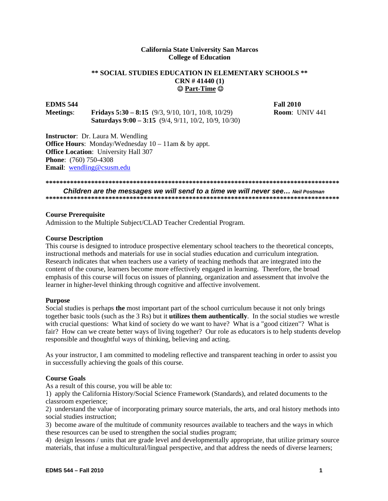### **California State University San Marcos College of Education**

### **Part-Time \*\* SOCIAL STUDIES EDUCATION IN ELEMENTARY SCHOOLS \*\* CRN # 41440 (1)**

# **EDMS 544** Fall 2010

**Meetings**: **Fridays 5:30 – 8:15** (9/3, 9/10, 10/1, 10/8, 10/29) **Room**: UNIV 441 **Saturdays 9:00 – 3:15** (9/4, 9/11, 10/2, 10/9, 10/30)

**Instructor**: Dr. Laura M. Wendling **Office Hours:** Monday/Wednesday  $10 - 11$ am & by appt. **Office Location**: University Hall 307 **Phone**: (760) 750-4308 **Email**: wendling@csusm.edu

**\*\*\*\*\*\*\*\*\*\*\*\*\*\*\*\*\*\*\*\*\*\*\*\*\*\*\*\*\*\*\*\*\*\*\*\*\*\*\*\*\*\*\*\*\*\*\*\*\*\*\*\*\*\*\*\*\*\*\*\*\*\*\*\*\*\*\*\*\*\*\*\*\*\*\*\*\*\*\*\*\*\*\*\*** 

*Children are the messages we will send to a time we will never see… Neil Postman*  **\*\*\*\*\*\*\*\*\*\*\*\*\*\*\*\*\*\*\*\*\*\*\*\*\*\*\*\*\*\*\*\*\*\*\*\*\*\*\*\*\*\*\*\*\*\*\*\*\*\*\*\*\*\*\*\*\*\*\*\*\*\*\*\*\*\*\*\*\*\*\*\*\*\*\*\*\*\*\*\*\*\*\*\*** 

#### **Course Prerequisite**

Admission to the Multiple Subject/CLAD Teacher Credential Program.

#### **Course Description**

This course is designed to introduce prospective elementary school teachers to the theoretical concepts, instructional methods and materials for use in social studies education and curriculum integration. Research indicates that when teachers use a variety of teaching methods that are integrated into the content of the course, learners become more effectively engaged in learning. Therefore, the broad emphasis of this course will focus on issues of planning, organization and assessment that involve the learner in higher-level thinking through cognitive and affective involvement.

#### **Purpose**

Social studies is perhaps **the** most important part of the school curriculum because it not only brings together basic tools (such as the 3 Rs) but it **utilizes them authentically**. In the social studies we wrestle with crucial questions: What kind of society do we want to have? What is a "good citizen"? What is fair? How can we create better ways of living together? Our role as educators is to help students develop responsible and thoughtful ways of thinking, believing and acting.

As your instructor, I am committed to modeling reflective and transparent teaching in order to assist you in successfully achieving the goals of this course.

#### **Course Goals**

As a result of this course, you will be able to:

1) apply the California History/Social Science Framework (Standards), and related documents to the classroom experience;

2) understand the value of incorporating primary source materials, the arts, and oral history methods into social studies instruction;

3) become aware of the multitude of community resources available to teachers and the ways in which these resources can be used to strengthen the social studies program;

4) design lessons / units that are grade level and developmentally appropriate, that utilize primary source materials, that infuse a multicultural/lingual perspective, and that address the needs of diverse learners;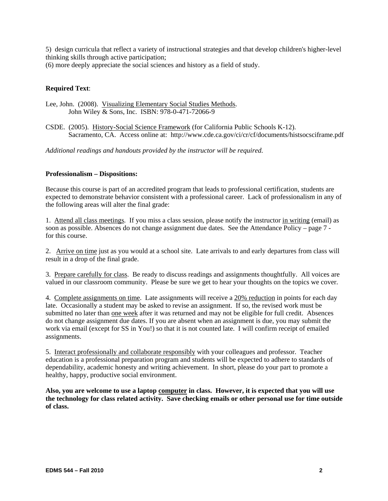5) design curricula that reflect a variety of instructional strategies and that develop children's higher-level thinking skills through active participation;

(6) more deeply appreciate the social sciences and history as a field of study.

### **Required Text**:

Lee, John. (2008). Visualizing Elementary Social Studies Methods. John Wiley & Sons, Inc. ISBN: 978-0-471-72066-9

CSDE. (2005). History-Social Science Framework (for California Public Schools K-12). Sacramento, CA. Access online at: http://www.cde.ca.gov/ci/cr/cf/documents/histsocsciframe.pdf

*Additional readings and handouts provided by the instructor will be required.* 

#### **Professionalism – Dispositions:**

Because this course is part of an accredited program that leads to professional certification, students are expected to demonstrate behavior consistent with a professional career. Lack of professionalism in any of the following areas will alter the final grade:

1. Attend all class meetings. If you miss a class session, please notify the instructor in writing (email) as soon as possible. Absences do not change assignment due dates. See the Attendance Policy – page 7 for this course.

2. Arrive on time just as you would at a school site. Late arrivals to and early departures from class will result in a drop of the final grade.

3. Prepare carefully for class. Be ready to discuss readings and assignments thoughtfully. All voices are valued in our classroom community. Please be sure we get to hear your thoughts on the topics we cover.

4. Complete assignments on time. Late assignments will receive a 20% reduction in points for each day late. Occasionally a student may be asked to revise an assignment. If so, the revised work must be submitted no later than one week after it was returned and may not be eligible for full credit. Absences do not change assignment due dates. If you are absent when an assignment is due, you may submit the work via email (except for SS in You!) so that it is not counted late. I will confirm receipt of emailed assignments.

5. Interact professionally and collaborate responsibly with your colleagues and professor. Teacher education is a professional preparation program and students will be expected to adhere to standards of dependability, academic honesty and writing achievement. In short, please do your part to promote a healthy, happy, productive social environment.

**Also, you are welcome to use a laptop computer in class. However, it is expected that you will use the technology for class related activity. Save checking emails or other personal use for time outside of class.**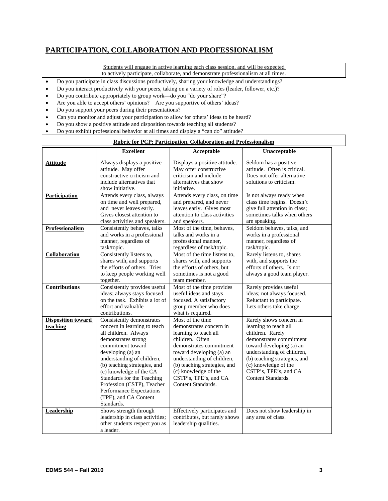# **PARTICIPATION, COLLABORATION AND PROFESSIONALISM**

Students will engage in active learning each class session, and will be expected

to actively participate, collaborate, and demonstrate professionalism at all times.

- Do you participate in class discussions productively, sharing your knowledge and understandings?
- Do you interact productively with your peers, taking on a variety of roles (leader, follower, etc.)?
- Do you contribute appropriately to group work—do you "do your share"?
- Are you able to accept others' opinions? Are you supportive of others' ideas?
- Do you support your peers during their presentations?
- Can you monitor and adjust your participation to allow for others' ideas to be heard?
- Do you show a positive attitude and disposition towards teaching all students?
- Do you exhibit professional behavior at all times and display a "can do" attitude?

| <b>Rubric for PCP: Participation, Collaboration and Professionalism</b> |                                                                                                                                                                                                                                                                                                                                                                            |                                                                                                                                                                                                                                                                                     |                                                                                                                                                                                                                                                                  |  |  |  |
|-------------------------------------------------------------------------|----------------------------------------------------------------------------------------------------------------------------------------------------------------------------------------------------------------------------------------------------------------------------------------------------------------------------------------------------------------------------|-------------------------------------------------------------------------------------------------------------------------------------------------------------------------------------------------------------------------------------------------------------------------------------|------------------------------------------------------------------------------------------------------------------------------------------------------------------------------------------------------------------------------------------------------------------|--|--|--|
|                                                                         | <b>Excellent</b>                                                                                                                                                                                                                                                                                                                                                           | Acceptable                                                                                                                                                                                                                                                                          | Unacceptable                                                                                                                                                                                                                                                     |  |  |  |
| <b>Attitude</b>                                                         | Always displays a positive<br>attitude. May offer<br>constructive criticism and<br>include alternatives that<br>show initiative.                                                                                                                                                                                                                                           | Displays a positive attitude.<br>May offer constructive<br>criticism and include<br>alternatives that show<br>initiative.                                                                                                                                                           | Seldom has a positive<br>attitude. Often is critical.<br>Does not offer alternative<br>solutions to criticism.                                                                                                                                                   |  |  |  |
| <b>Participation</b><br>Professionalism                                 | Attends every class, always<br>on time and well prepared,<br>and never leaves early.<br>Gives closest attention to<br>class activities and speakers.<br>Consistently behaves, talks                                                                                                                                                                                        | Attends every class, on time<br>and prepared, and never<br>leaves early. Gives most<br>attention to class activities<br>and speakers.<br>Most of the time, behaves,                                                                                                                 | Is not always ready when<br>class time begins. Doesn't<br>give full attention in class;<br>sometimes talks when others<br>are speaking.<br>Seldom behaves, talks, and                                                                                            |  |  |  |
|                                                                         | and works in a professional<br>manner, regardless of<br>task/topic.                                                                                                                                                                                                                                                                                                        | talks and works in a<br>professional manner,<br>regardless of task/topic.                                                                                                                                                                                                           | works in a professional<br>manner, regardless of<br>task/topic.                                                                                                                                                                                                  |  |  |  |
| Collaboration                                                           | Consistently listens to,<br>shares with, and supports<br>the efforts of others. Tries<br>to keep people working well<br>together.                                                                                                                                                                                                                                          | Most of the time listens to,<br>shares with, and supports<br>the efforts of others, but<br>sometimes is not a good<br>team member.                                                                                                                                                  | Rarely listens to, shares<br>with, and supports the<br>efforts of others. Is not<br>always a good team player.                                                                                                                                                   |  |  |  |
| Contributions                                                           | Consistently provides useful<br>ideas; always stays focused<br>on the task. Exhibits a lot of<br>effort and valuable<br>contributions.                                                                                                                                                                                                                                     | Most of the time provides<br>useful ideas and stays<br>focused. A satisfactory<br>group member who does<br>what is required.                                                                                                                                                        | Rarely provides useful<br>ideas; not always focused.<br>Reluctant to participate.<br>Lets others take charge.                                                                                                                                                    |  |  |  |
| <b>Disposition toward</b><br>teaching                                   | Consistently demonstrates<br>concern in learning to teach<br>all children. Always<br>demonstrates strong<br>commitment toward<br>developing (a) an<br>understanding of children,<br>(b) teaching strategies, and<br>(c) knowledge of the CA<br>Standards for the Teaching<br>Profession (CSTP), Teacher<br>Performance Expectations<br>(TPE), and CA Content<br>Standards. | Most of the time<br>demonstrates concern in<br>learning to teach all<br>children. Often<br>demonstrates commitment<br>toward developing (a) an<br>understanding of children,<br>(b) teaching strategies, and<br>(c) knowledge of the<br>CSTP's, TPE's, and CA<br>Content Standards. | Rarely shows concern in<br>learning to teach all<br>children. Rarely<br>demonstrates commitment<br>toward developing (a) an<br>understanding of children,<br>(b) teaching strategies, and<br>(c) knowledge of the<br>CSTP's, TPE's, and CA<br>Content Standards. |  |  |  |
| <b>Leadership</b>                                                       | Shows strength through<br>leadership in class activities;<br>other students respect you as<br>a leader.                                                                                                                                                                                                                                                                    | Effectively participates and<br>contributes, but rarely shows<br>leadership qualities.                                                                                                                                                                                              | Does not show leadership in<br>any area of class.                                                                                                                                                                                                                |  |  |  |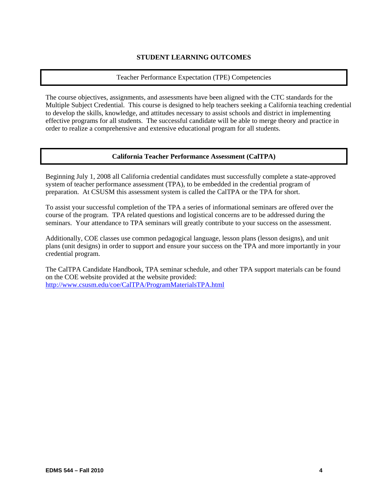## **STUDENT LEARNING OUTCOMES**

#### Teacher Performance Expectation (TPE) Competencies

The course objectives, assignments, and assessments have been aligned with the CTC standards for the Multiple Subject Credential. This course is designed to help teachers seeking a California teaching credential to develop the skills, knowledge, and attitudes necessary to assist schools and district in implementing effective programs for all students. The successful candidate will be able to merge theory and practice in order to realize a comprehensive and extensive educational program for all students.

# **California Teacher Performance Assessment (CalTPA)**

Beginning July 1, 2008 all California credential candidates must successfully complete a state-approved system of teacher performance assessment (TPA), to be embedded in the credential program of preparation. At CSUSM this assessment system is called the CalTPA or the TPA for short.

To assist your successful completion of the TPA a series of informational seminars are offered over the course of the program. TPA related questions and logistical concerns are to be addressed during the seminars. Your attendance to TPA seminars will greatly contribute to your success on the assessment.

Additionally, COE classes use common pedagogical language, lesson plans (lesson designs), and unit plans (unit designs) in order to support and ensure your success on the TPA and more importantly in your credential program.

 http://www.csusm.edu/coe/CalTPA/ProgramMaterialsTPA.html The CalTPA Candidate Handbook, TPA seminar schedule, and other TPA support materials can be found on the COE website provided at the website provided: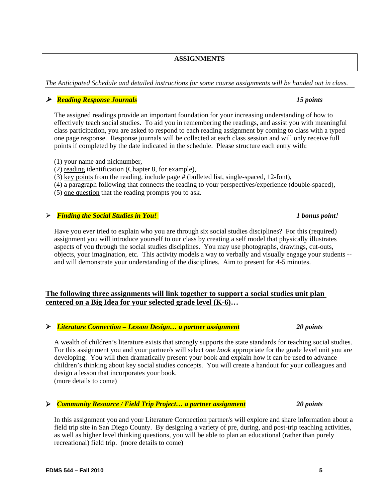# **ASSIGNMENTS**

#### *The Anticipated Schedule and detailed instructions for some course assignments will be handed out in class.*

#### *Reading Response Journals 15 points*

The assigned readings provide an important foundation for your increasing understanding of how to effectively teach social studies. To aid you in remembering the readings, and assist you with meaningful class participation, you are asked to respond to each reading assignment by coming to class with a typed one page response. Response journals will be collected at each class session and will only receive full points if completed by the date indicated in the schedule. Please structure each entry with:

- (1) your name and nicknumber,
- (2) reading identification (Chapter 8, for example),
- (3) key points from the reading, include page # (bulleted list, single-spaced, 12-font),
- (4) a paragraph following that connects the reading to your perspectives/experience (double-spaced),
- (5) one question that the reading prompts you to ask.

#### *Finding the Social Studies in You!* **1** bonus point!

Have you ever tried to explain who you are through six social studies disciplines? For this (required) assignment you will introduce yourself to our class by creating a self model that physically illustrates aspects of you through the social studies disciplines. You may use photographs, drawings, cut-outs, objects, your imagination, etc. This activity models a way to verbally and visually engage your students - and will demonstrate your understanding of the disciplines. Aim to present for 4-5 minutes.

# **The following three assignments will link together to support a social studies unit plan centered on a Big Idea for your selected grade level (K-6)…**

#### *Literature Connection – Lesson Design… a partner assignment 20 points*

A wealth of children's literature exists that strongly supports the state standards for teaching social studies. For this assignment you and your partner/s will select *one book* appropriate for the grade level unit you are developing. You will then dramatically present your book and explain how it can be used to advance children's thinking about key social studies concepts. You will create a handout for your colleagues and design a lesson that incorporates your book. (more details to come)

#### *Community Resource / Field Trip Project… a partner assignment 20 points*

In this assignment you and your Literature Connection partner/s will explore and share information about a field trip site in San Diego County. By designing a variety of pre, during, and post-trip teaching activities, as well as higher level thinking questions, you will be able to plan an educational (rather than purely recreational) field trip. (more details to come)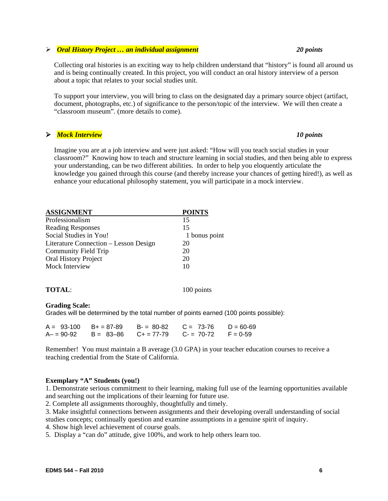#### **EDMS 544 – Fall 2010 6**

#### *Oral History Project … an individual assignment 20 points*

Collecting oral histories is an exciting way to help children understand that "history" is found all around us and is being continually created. In this project, you will conduct an oral history interview of a person about a topic that relates to your social studies unit.

To support your interview, you will bring to class on the designated day a primary source object (artifact, document, photographs, etc.) of significance to the person/topic of the interview. We will then create a "classroom museum". (more details to come).

#### *Mock Interview 10 points*

Imagine you are at a job interview and were just asked: "How will you teach social studies in your classroom?" Knowing how to teach and structure learning in social studies, and then being able to express your understanding, can be two different abilities. In order to help you eloquently articulate the knowledge you gained through this course (and thereby increase your chances of getting hired!), as well as enhance your educational philosophy statement, you will participate in a mock interview.

| <b>ASSIGNMENT</b>                     | <b>POINTS</b> |
|---------------------------------------|---------------|
| Professionalism                       | 15            |
| <b>Reading Responses</b>              | 15            |
| Social Studies in You!                | 1 bonus point |
| Literature Connection - Lesson Design | 20            |
| Community Field Trip                  | 20            |
| Oral History Project                  | 20            |
| Mock Interview                        | 10            |
|                                       |               |
| <b>TOTAL:</b>                         | 100 points    |

# **Grading Scale:**

Grades will be determined by the total number of points earned (100 points possible):

|  | $A = 93-100$ B+ = 87-89 B- = 80-82 C = 73-76 D = 60-69 |  |
|--|--------------------------------------------------------|--|
|  | $A = 90-92$ B = 83-86 C + = 77-79 C - = 70-72 F = 0-59 |  |

Remember! You must maintain a B average (3.0 GPA) in your teacher education courses to receive a teaching credential from the State of California.

#### **Exemplary "A" Students (you!)**

1. Demonstrate serious commitment to their learning, making full use of the learning opportunities available and searching out the implications of their learning for future use.

2. Complete all assignments thoroughly, thoughtfully and timely.

3. Make insightful connections between assignments and their developing overall understanding of social studies concepts; continually question and examine assumptions in a genuine spirit of inquiry.

4. Show high level achievement of course goals.

5. Display a "can do" attitude, give 100%, and work to help others learn too.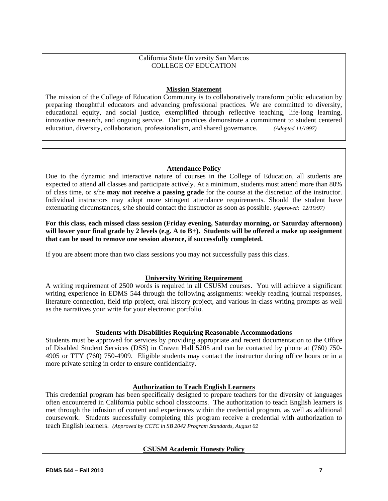### California State University San Marcos COLLEGE OF EDUCATION

### **Mission Statement**

The mission of the College of Education Community is to collaboratively transform public education by preparing thoughtful educators and advancing professional practices. We are committed to diversity, educational equity, and social justice, exemplified through reflective teaching, life-long learning, innovative research, and ongoing service. Our practices demonstrate a commitment to student centered education, diversity, collaboration, professionalism, and shared governance. *(Adopted 11/1997)* 

### **Attendance Policy**

Due to the dynamic and interactive nature of courses in the College of Education, all students are expected to attend **all** classes and participate actively. At a minimum, students must attend more than 80% of class time, or s/he **may not receive a passing grade** for the course at the discretion of the instructor. Individual instructors may adopt more stringent attendance requirements. Should the student have extenuating circumstances, s/he should contact the instructor as soon as possible. *(Approved: 12/19/97)* 

**For this class, each missed class session (Friday evening, Saturday morning, or Saturday afternoon) will lower your final grade by 2 levels (e.g. A to B+). Students will be offered a make up assignment that can be used to remove one session absence, if successfully completed.** 

If you are absent more than two class sessions you may not successfully pass this class.

# **University Writing Requirement**

A writing requirement of 2500 words is required in all CSUSM courses. You will achieve a significant writing experience in EDMS 544 through the following assignments: weekly reading journal responses, literature connection, field trip project, oral history project, and various in-class writing prompts as well as the narratives your write for your electronic portfolio.

# **Students with Disabilities Requiring Reasonable Accommodations**

Students must be approved for services by providing appropriate and recent documentation to the Office of Disabled Student Services (DSS) in Craven Hall 5205 and can be contacted by phone at (760) 750- 4905 or TTY (760) 750-4909. Eligible students may contact the instructor during office hours or in a more private setting in order to ensure confidentiality.

# **Authorization to Teach English Learners**

This credential program has been specifically designed to prepare teachers for the diversity of languages often encountered in California public school classrooms. The authorization to teach English learners is met through the infusion of content and experiences within the credential program, as well as additional coursework. Students successfully completing this program receive a credential with authorization to teach English learners. *(Approved by CCTC in SB 2042 Program Standards, August 02* 

# **CSUSM Academic Honesty Policy**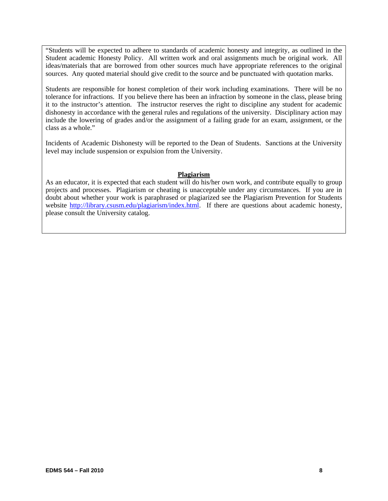"Students will be expected to adhere to standards of academic honesty and integrity, as outlined in the Student academic Honesty Policy. All written work and oral assignments much be original work. All ideas/materials that are borrowed from other sources much have appropriate references to the original sources. Any quoted material should give credit to the source and be punctuated with quotation marks.

Students are responsible for honest completion of their work including examinations. There will be no tolerance for infractions. If you believe there has been an infraction by someone in the class, please bring it to the instructor's attention. The instructor reserves the right to discipline any student for academic dishonesty in accordance with the general rules and regulations of the university. Disciplinary action may include the lowering of grades and/or the assignment of a failing grade for an exam, assignment, or the class as a whole."

Incidents of Academic Dishonesty will be reported to the Dean of Students. Sanctions at the University level may include suspension or expulsion from the University.

#### **Plagiarism**

As an educator, it is expected that each student will do his/her own work, and contribute equally to group projects and processes. Plagiarism or cheating is unacceptable under any circumstances. If you are in doubt about whether your work is paraphrased or plagiarized see the Plagiarism Prevention for Students website http://library.csusm.edu/plagiarism/index.html. If there are questions about academic honesty, please consult the University catalog.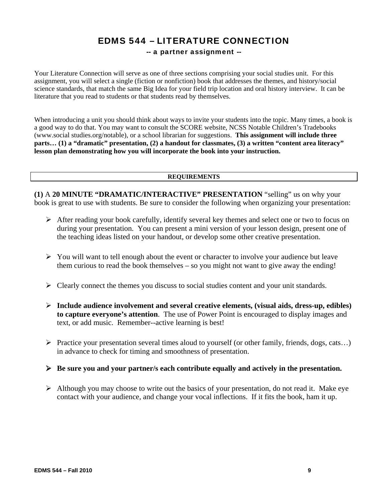# EDMS 544 – LITERATURE CONNECTION

# -- a partner assignment --

Your Literature Connection will serve as one of three sections comprising your social studies unit. For this assignment, you will select a single (fiction or nonfiction) book that addresses the themes, and history/social science standards, that match the same Big Idea for your field trip location and oral history interview. It can be literature that you read to students or that students read by themselves.

When introducing a unit you should think about ways to invite your students into the topic. Many times, a book is a good way to do that. You may want to consult the SCORE website, NCSS Notable Children's Tradebooks (www.social studies.org/notable), or a school librarian for suggestions. **This assignment will include three parts… (1) a "dramatic" presentation, (2) a handout for classmates, (3) a written "content area literacy" lesson plan demonstrating how you will incorporate the book into your instruction.** 

#### **REQUIREMENTS**

**(1)** A **20 MINUTE "DRAMATIC/INTERACTIVE" PRESENTATION** "selling" us on why your book is great to use with students. Be sure to consider the following when organizing your presentation:

- $\triangleright$  After reading your book carefully, identify several key themes and select one or two to focus on during your presentation. You can present a mini version of your lesson design, present one of the teaching ideas listed on your handout, or develop some other creative presentation.
- $\triangleright$  You will want to tell enough about the event or character to involve your audience but leave them curious to read the book themselves – so you might not want to give away the ending!
- $\triangleright$  Clearly connect the themes you discuss to social studies content and your unit standards.
- **Include audience involvement and several creative elements, (visual aids, dress-up, edibles) to capture everyone's attention**. The use of Power Point is encouraged to display images and text, or add music. Remember--active learning is best!
- Practice your presentation several times aloud to yourself (or other family, friends, dogs, cats...) in advance to check for timing and smoothness of presentation.
- **Be sure you and your partner/s each contribute equally and actively in the presentation.**
- $\triangleright$  Although you may choose to write out the basics of your presentation, do not read it. Make eye contact with your audience, and change your vocal inflections. If it fits the book, ham it up.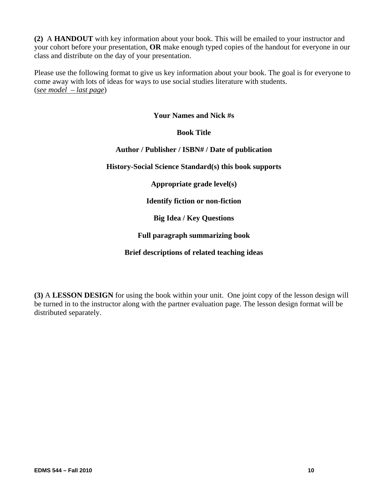**(2)** A **HANDOUT** with key information about your book. This will be emailed to your instructor and your cohort before your presentation, **OR** make enough typed copies of the handout for everyone in our class and distribute on the day of your presentation.

Please use the following format to give us key information about your book. The goal is for everyone to come away with lots of ideas for ways to use social studies literature with students. (*see model – last page*)

# **Your Names and Nick #s**

# **Book Title**

# **Author / Publisher / ISBN# / Date of publication**

**History-Social Science Standard(s) this book supports** 

**Appropriate grade level(s)** 

**Identify fiction or non-fiction** 

**Big Idea / Key Questions** 

# **Full paragraph summarizing book**

# **Brief descriptions of related teaching ideas**

**(3)** A **LESSON DESIGN** for using the book within your unit. One joint copy of the lesson design will be turned in to the instructor along with the partner evaluation page. The lesson design format will be distributed separately.